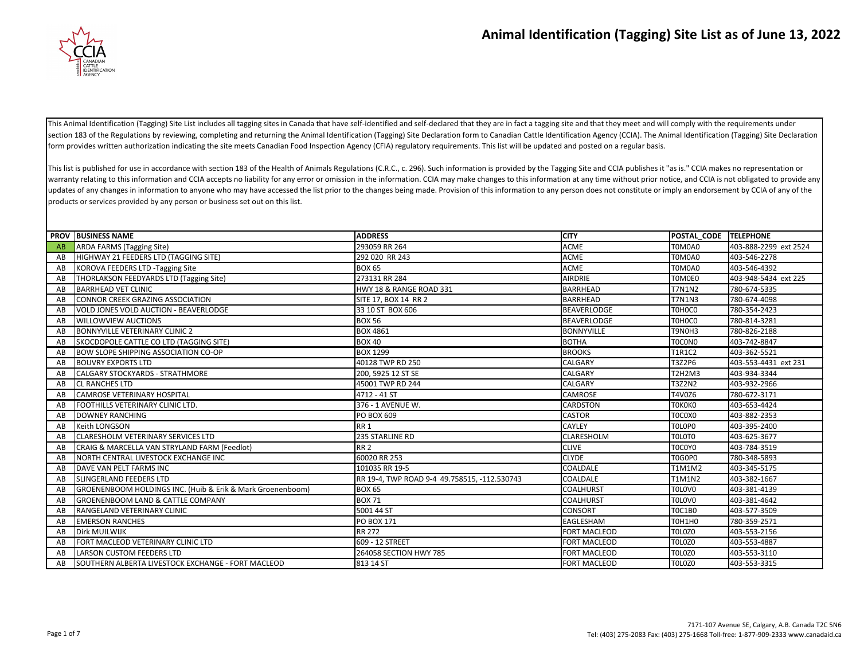

This Animal Identification (Tagging) Site List includes all tagging sites in Canada that have self-identified and self-declared that they are in fact a tagging site and that they meet and will comply with the requirements section 183 of the Regulations by reviewing, completing and returning the Animal Identification (Tagging) Site Declaration form to Canadian Cattle Identification Agency (CCIA). The Animal Identification (Tagging) Site Decl form provides written authorization indicating the site meets Canadian Food Inspection Agency (CFIA) regulatory requirements. This list will be updated and posted on a regular basis.

This list is published for use in accordance with section 183 of the Health of Animals Regulations (C.R.C., c. 296). Such information is provided by the Tagging Site and CCIA publishes it "as is." CCIA makes no representat warranty relating to this information and CCIA accepts no liability for any error or omission in the information. CCIA may make changes to this information at any time without prior notice, and CCIA is not obligated to pro updates of any changes in information to anyone who may have accessed the list prior to the changes being made. Provision of this information to any person does not constitute or imply an endorsement by CCIA of any of the products or services provided by any person or business set out on this list.

|    | <b>PROV BUSINESS NAME</b>                                  | <b>ADDRESS</b>                               | <b>CITY</b>         | POSTAL_CODE TELEPHONE |                       |
|----|------------------------------------------------------------|----------------------------------------------|---------------------|-----------------------|-----------------------|
| AB | <b>ARDA FARMS (Tagging Site)</b>                           | 293059 RR 264                                | <b>ACME</b>         | T0M0A0                | 403-888-2299 ext 2524 |
| AB | HIGHWAY 21 FEEDERS LTD (TAGGING SITE)                      | 292 020 RR 243                               | <b>ACME</b>         | T0M0A0                | 403-546-2278          |
| AB | KOROVA FEEDERS LTD -Tagging Site                           | <b>BOX 65</b>                                | <b>ACME</b>         | T0M0A0                | 403-546-4392          |
| AB | THORLAKSON FEEDYARDS LTD (Tagging Site)                    | 273131 RR 284                                | <b>AIRDRIE</b>      | T0M0E0                | 403-948-5434 ext 225  |
| AB | <b>BARRHEAD VET CLINIC</b>                                 | HWY 18 & RANGE ROAD 331                      | <b>BARRHEAD</b>     | <b>T7N1N2</b>         | 780-674-5335          |
| AB | <b>CONNOR CREEK GRAZING ASSOCIATION</b>                    | SITE 17, BOX 14 RR 2                         | <b>BARRHEAD</b>     | <b>T7N1N3</b>         | 780-674-4098          |
| AB | VOLD JONES VOLD AUCTION - BEAVERLODGE                      | 33 10 ST BOX 606                             | <b>BEAVERLODGE</b>  | T0HOCO                | 780-354-2423          |
| AB | <b>WILLOWVIEW AUCTIONS</b>                                 | <b>BOX 56</b>                                | <b>BEAVERLODGE</b>  | T0H0C0                | 780-814-3281          |
| AB | <b>BONNYVILLE VETERINARY CLINIC 2</b>                      | <b>BOX 4861</b>                              | <b>BONNYVILLE</b>   | T9N0H3                | 780-826-2188          |
| AB | SKOCDOPOLE CATTLE CO LTD (TAGGING SITE)                    | <b>BOX 40</b>                                | <b>BOTHA</b>        | <b>TOCONO</b>         | 403-742-8847          |
| AB | <b>BOW SLOPE SHIPPING ASSOCIATION CO-OP</b>                | <b>BOX 1299</b>                              | <b>BROOKS</b>       | T1R1C2                | 403-362-5521          |
| AB | <b>BOUVRY EXPORTS LTD</b>                                  | 40128 TWP RD 250                             | <b>CALGARY</b>      | T3Z2P6                | 403-553-4431 ext 231  |
| AB | <b>CALGARY STOCKYARDS - STRATHMORE</b>                     | 200, 5925 12 ST SE                           | <b>CALGARY</b>      | T2H2M3                | 403-934-3344          |
| AB | <b>CL RANCHES LTD</b>                                      | 45001 TWP RD 244                             | <b>CALGARY</b>      | T3Z2N2                | 403-932-2966          |
| AB | <b>CAMROSE VETERINARY HOSPITAL</b>                         | 4712 - 41 ST                                 | <b>CAMROSE</b>      | T4V0Z6                | 780-672-3171          |
| AB | FOOTHILLS VETERINARY CLINIC LTD.                           | 376 - 1 AVENUE W.                            | <b>CARDSTON</b>     | ТОКОКО                | 403-653-4424          |
| AB | <b>DOWNEY RANCHING</b>                                     | PO BOX 609                                   | <b>CASTOR</b>       | T0C0X0                | 403-882-2353          |
| AB | Keith LONGSON                                              | RR <sub>1</sub>                              | <b>CAYLEY</b>       | TOLOPO                | 403-395-2400          |
| AB | CLARESHOLM VETERINARY SERVICES LTD                         | 235 STARLINE RD                              | <b>CLARESHOLM</b>   | TOLOTO                | 403-625-3677          |
| AB | CRAIG & MARCELLA VAN STRYLAND FARM (Feedlot)               | <b>RR 2</b>                                  | <b>CLIVE</b>        | T0C0Y0                | 403-784-3519          |
| AB | NORTH CENTRAL LIVESTOCK EXCHANGE INC                       | 60020 RR 253                                 | <b>CLYDE</b>        | T0G0P0                | 780-348-5893          |
| AB | DAVE VAN PELT FARMS INC                                    | 101035 RR 19-5                               | COALDALE            | T1M1M2                | 403-345-5175          |
| AB | <b>SLINGERLAND FEEDERS LTD</b>                             | RR 19-4, TWP ROAD 9-4 49.758515, -112.530743 | COALDALE            | T1M1N2                | 403-382-1667          |
| AB | GROENENBOOM HOLDINGS INC. (Huib & Erik & Mark Groenenboom) | <b>BOX 65</b>                                | <b>COALHURST</b>    | TOLOVO                | 403-381-4139          |
| AB | <b>GROENENBOOM LAND &amp; CATTLE COMPANY</b>               | <b>BOX 71</b>                                | <b>COALHURST</b>    | TOLOVO                | 403-381-4642          |
| AB | RANGELAND VETERINARY CLINIC                                | 5001 44 ST                                   | <b>CONSORT</b>      | <b>TOC1B0</b>         | 403-577-3509          |
| AB | <b>EMERSON RANCHES</b>                                     | <b>PO BOX 171</b>                            | EAGLESHAM           | T0H1H0                | 780-359-2571          |
| AB | Dirk MUILWIJK                                              | <b>RR 272</b>                                | <b>FORT MACLEOD</b> | TOLOZO                | 403-553-2156          |
| AB | FORT MACLEOD VETERINARY CLINIC LTD                         | 609 - 12 STREET                              | <b>FORT MACLEOD</b> | <b>TOLOZO</b>         | 403-553-4887          |
| AB | <b>LARSON CUSTOM FEEDERS LTD</b>                           | 264058 SECTION HWY 785                       | <b>FORT MACLEOD</b> | <b>TOLOZO</b>         | 403-553-3110          |
| AB | SOUTHERN ALBERTA LIVESTOCK EXCHANGE - FORT MACLEOD         | 813 14 ST                                    | <b>FORT MACLEOD</b> | TOLOZO                | 403-553-3315          |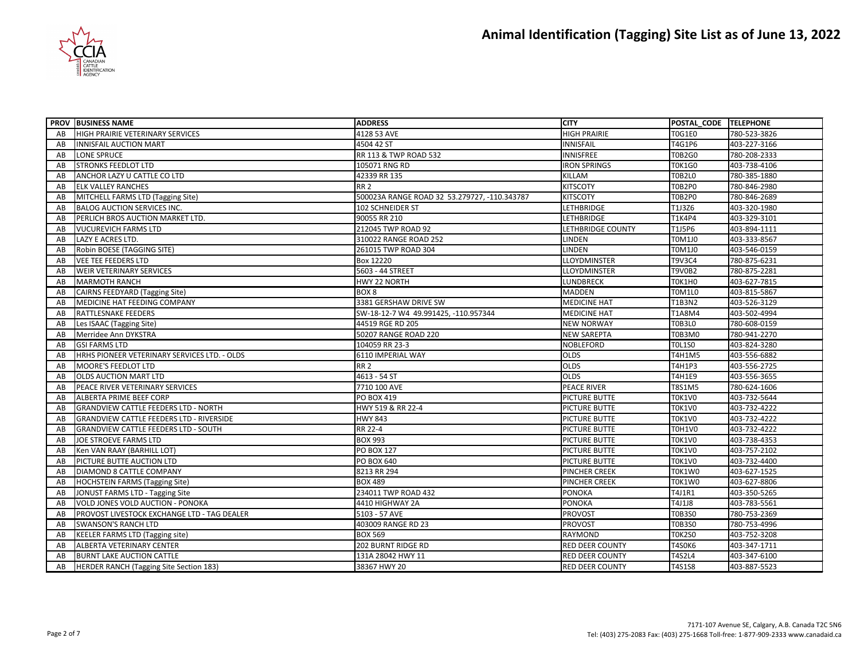

|    | <b>PROV BUSINESS NAME</b>                       | <b>ADDRESS</b>                               | <b>CITY</b>              | POSTAL CODE TELEPHONE |              |
|----|-------------------------------------------------|----------------------------------------------|--------------------------|-----------------------|--------------|
| AB | <b>HIGH PRAIRIE VETERINARY SERVICES</b>         | 4128 53 AVE                                  | <b>HIGH PRAIRIE</b>      | <b>T0G1E0</b>         | 780-523-3826 |
| AB | <b>INNISFAIL AUCTION MART</b>                   | 4504 42 ST                                   | <b>INNISFAIL</b>         | T4G1P6                | 403-227-3166 |
| AB | LONE SPRUCE                                     | RR 113 & TWP ROAD 532                        | <b>INNISFREE</b>         | <b>T0B2G0</b>         | 780-208-2333 |
| AB | <b>STRONKS FEEDLOT LTD</b>                      | 105071 RNG RD                                | <b>IRON SPRINGS</b>      | <b>T0K1G0</b>         | 403-738-4106 |
| AB | ANCHOR LAZY U CATTLE CO LTD                     | 42339 RR 135                                 | KILLAM                   | <b>T0B2L0</b>         | 780-385-1880 |
| AB | <b>ELK VALLEY RANCHES</b>                       | <b>RR 2</b>                                  | <b>KITSCOTY</b>          | <b>T0B2P0</b>         | 780-846-2980 |
| AB | MITCHELL FARMS LTD (Tagging Site)               | 500023A RANGE ROAD 32 53.279727, -110.343787 | <b>KITSCOTY</b>          | <b>T0B2P0</b>         | 780-846-2689 |
| AB | <b>BALOG AUCTION SERVICES INC.</b>              | 102 SCHNEIDER ST                             | <b>LETHBRIDGE</b>        | T1J3Z6                | 403-320-1980 |
| AB | PERLICH BROS AUCTION MARKET LTD.                | 90055 RR 210                                 | <b>LETHBRIDGE</b>        | <b>T1K4P4</b>         | 403-329-3101 |
| AB | <b>VUCUREVICH FARMS LTD</b>                     | 212045 TWP ROAD 92                           | <b>LETHBRIDGE COUNTY</b> | T1J5P6                | 403-894-1111 |
| AB | LAZY E ACRES LTD.                               | 310022 RANGE ROAD 252                        | LINDEN                   | T0M1J0                | 403-333-8567 |
| AB | Robin BOESE (TAGGING SITE)                      | 261015 TWP ROAD 304                          | <b>LINDEN</b>            | T0M1J0                | 403-546-0159 |
| AB | <b>VEE TEE FEEDERS LTD</b>                      | Box 12220                                    | <b>LLOYDMINSTER</b>      | T9V3C4                | 780-875-6231 |
| AB | <b>WEIR VETERINARY SERVICES</b>                 | 5603 - 44 STREET                             | LLOYDMINSTER             | <b>T9V0B2</b>         | 780-875-2281 |
| AB | <b>MARMOTH RANCH</b>                            | HWY 22 NORTH                                 | <b>LUNDBRECK</b>         | <b>TOK1HO</b>         | 403-627-7815 |
| AB | <b>CAIRNS FEEDYARD (Tagging Site)</b>           | BOX <sub>8</sub>                             | <b>MADDEN</b>            | <b>T0M1L0</b>         | 403-815-5867 |
| AB | MEDICINE HAT FEEDING COMPANY                    | 3381 GERSHAW DRIVE SW                        | <b>MEDICINE HAT</b>      | T1B3N2                | 403-526-3129 |
| AB | RATTLESNAKE FEEDERS                             | SW-18-12-7 W4 49.991425, -110.957344         | <b>MEDICINE HAT</b>      | T1A8M4                | 403-502-4994 |
| AB | Les ISAAC (Tagging Site)                        | 44519 RGE RD 205                             | <b>NEW NORWAY</b>        | <b>T0B3L0</b>         | 780-608-0159 |
| AB | Merridee Ann DYKSTRA                            | 50207 RANGE ROAD 220                         | <b>NEW SAREPTA</b>       | <b>T0B3M0</b>         | 780-941-2270 |
| AB | <b>GSI FARMS LTD</b>                            | 104059 RR 23-3                               | <b>NOBLEFORD</b>         | <b>TOL1SO</b>         | 403-824-3280 |
| AB | HRHS PIONEER VETERINARY SERVICES LTD. - OLDS    | 6110 IMPERIAL WAY                            | <b>OLDS</b>              | T4H1M5                | 403-556-6882 |
| AB | MOORE'S FEEDLOT LTD                             | RR <sub>2</sub>                              | <b>OLDS</b>              | <b>T4H1P3</b>         | 403-556-2725 |
| AB | <b>OLDS AUCTION MART LTD</b>                    | 4613 - 54 ST                                 | <b>OLDS</b>              | <b>T4H1E9</b>         | 403-556-3655 |
| AB | PEACE RIVER VETERINARY SERVICES                 | 7710 100 AVE                                 | PEACE RIVER              | T8S1M5                | 780-624-1606 |
| AB | ALBERTA PRIME BEEF CORP                         | PO BOX 419                                   | PICTURE BUTTE            | <b>T0K1V0</b>         | 403-732-5644 |
| AB | <b>GRANDVIEW CATTLE FEEDERS LTD - NORTH</b>     | HWY 519 & RR 22-4                            | <b>PICTURE BUTTE</b>     | <b>T0K1V0</b>         | 403-732-4222 |
| AB | <b>GRANDVIEW CATTLE FEEDERS LTD - RIVERSIDE</b> | <b>HWY 843</b>                               | PICTURE BUTTE            | <b>T0K1V0</b>         | 403-732-4222 |
| AB | <b>GRANDVIEW CATTLE FEEDERS LTD - SOUTH</b>     | RR 22-4                                      | PICTURE BUTTE            | <b>T0H1V0</b>         | 403-732-4222 |
| AB | JOE STROEVE FARMS LTD                           | <b>BOX 993</b>                               | PICTURE BUTTE            | <b>T0K1V0</b>         | 403-738-4353 |
| AB | Ken VAN RAAY (BARHILL LOT)                      | <b>PO BOX 127</b>                            | PICTURE BUTTE            | <b>T0K1V0</b>         | 403-757-2102 |
| AB | PICTURE BUTTE AUCTION LTD                       | PO BOX 640                                   | PICTURE BUTTE            | <b>T0K1V0</b>         | 403-732-4400 |
| AB | DIAMOND 8 CATTLE COMPANY                        | 8213 RR 294                                  | PINCHER CREEK            | T0K1W0                | 403-627-1525 |
| AB | <b>HOCHSTEIN FARMS (Tagging Site)</b>           | <b>BOX 489</b>                               | <b>PINCHER CREEK</b>     | T0K1W0                | 403-627-8806 |
| AB | JONUST FARMS LTD - Tagging Site                 | 234011 TWP ROAD 432                          | <b>PONOKA</b>            | T4J1R1                | 403-350-5265 |
| AB | VOLD JONES VOLD AUCTION - PONOKA                | 4410 HIGHWAY 2A                              | <b>PONOKA</b>            | T4J1J8                | 403-783-5561 |
| AB | PROVOST LIVESTOCK EXCHANGE LTD - TAG DEALER     | 5103 - 57 AVE                                | <b>PROVOST</b>           | <b>T0B3S0</b>         | 780-753-2369 |
| AB | <b>SWANSON'S RANCH LTD</b>                      | 403009 RANGE RD 23                           | <b>PROVOST</b>           | <b>T0B3S0</b>         | 780-753-4996 |
| AB | <b>KEELER FARMS LTD (Tagging site)</b>          | <b>BOX 569</b>                               | <b>RAYMOND</b>           | <b>T0K2S0</b>         | 403-752-3208 |
| AB | ALBERTA VETERINARY CENTER                       | 202 BURNT RIDGE RD                           | <b>RED DEER COUNTY</b>   | <b>T4S0K6</b>         | 403-347-1711 |
| AB | <b>BURNT LAKE AUCTION CATTLE</b>                | 131A 28042 HWY 11                            | <b>RED DEER COUNTY</b>   | <b>T4S2L4</b>         | 403-347-6100 |
| AB | HERDER RANCH (Tagging Site Section 183)         | 38367 HWY 20                                 | <b>RED DEER COUNTY</b>   | T4S1S8                | 403-887-5523 |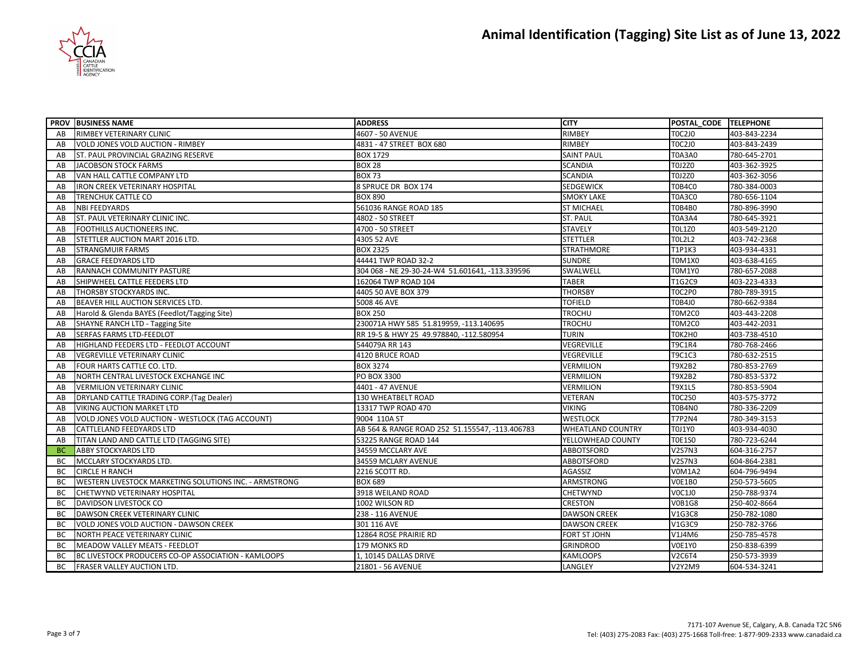

|           | <b>PROV BUSINESS NAME</b>                                     | <b>ADDRESS</b>                                  | <b>CITY</b>              | POSTAL_CODE TELEPHONE |              |
|-----------|---------------------------------------------------------------|-------------------------------------------------|--------------------------|-----------------------|--------------|
| AB        | RIMBEY VETERINARY CLINIC                                      | 4607 - 50 AVENUE                                | <b>RIMBEY</b>            | <b>TOC2JO</b>         | 403-843-2234 |
| AB        | <b>VOLD JONES VOLD AUCTION - RIMBEY</b>                       | 4831 - 47 STREET BOX 680                        | <b>RIMBEY</b>            | <b>TOC2JO</b>         | 403-843-2439 |
| AB        | ST. PAUL PROVINCIAL GRAZING RESERVE                           | <b>BOX 1729</b>                                 | <b>SAINT PAUL</b>        | <b>T0A3A0</b>         | 780-645-2701 |
| AB        | JACOBSON STOCK FARMS                                          | <b>BOX 28</b>                                   | <b>SCANDIA</b>           | <b>T0J2Z0</b>         | 403-362-3925 |
| AB        | VAN HALL CATTLE COMPANY LTD                                   | <b>BOX 73</b>                                   | <b>SCANDIA</b>           | T0J2Z0                | 403-362-3056 |
| AB        | <b>IRON CREEK VETERINARY HOSPITAL</b>                         | 8 SPRUCE DR BOX 174                             | <b>SEDGEWICK</b>         | <b>T0B4C0</b>         | 780-384-0003 |
| AB        | TRENCHUK CATTLE CO                                            | <b>BOX 890</b>                                  | <b>SMOKY LAKE</b>        | <b>T0A3C0</b>         | 780-656-1104 |
| AB        | <b>NBI FEEDYARDS</b>                                          | 561036 RANGE ROAD 185                           | <b>ST MICHAEL</b>        | <b>T0B4B0</b>         | 780-896-3990 |
| AB        | ST. PAUL VETERINARY CLINIC INC.                               | 4802 - 50 STREET                                | <b>ST. PAUL</b>          | <b>T0A3A4</b>         | 780-645-3921 |
| AB        | FOOTHILLS AUCTIONEERS INC.                                    | 4700 - 50 STREET                                | <b>STAVELY</b>           | <b>TOL1Z0</b>         | 403-549-2120 |
| AB        | STETTLER AUCTION MART 2016 LTD.                               | 4305 52 AVE                                     | <b>STETTLER</b>          | <b>TOL2L2</b>         | 403-742-2368 |
| AB        | <b>STRANGMUIR FARMS</b>                                       | <b>BOX 2325</b>                                 | <b>STRATHMORE</b>        | <b>T1P1K3</b>         | 403-934-4331 |
| AB        | <b>GRACE FEEDYARDS LTD</b>                                    | 44441 TWP ROAD 32-2                             | <b>SUNDRE</b>            | <b>T0M1X0</b>         | 403-638-4165 |
| AB        | RANNACH COMMUNITY PASTURE                                     | 304 068 - NE 29-30-24-W4 51.601641, -113.339596 | SWALWELL                 | <b>T0M1Y0</b>         | 780-657-2088 |
| AB        | SHIPWHEEL CATTLE FEEDERS LTD                                  | 162064 TWP ROAD 104                             | <b>TABER</b>             | T1G2C9                | 403-223-4333 |
| AB        | THORSBY STOCKYARDS INC.                                       | 4405 50 AVE BOX 379                             | <b>THORSBY</b>           | <b>TOC2PO</b>         | 780-789-3915 |
| AB        | BEAVER HILL AUCTION SERVICES LTD.                             | 5008 46 AVE                                     | <b>TOFIELD</b>           | T0B4J0                | 780-662-9384 |
| AB        | Harold & Glenda BAYES (Feedlot/Tagging Site)                  | <b>BOX 250</b>                                  | <b>TROCHU</b>            | T0M2C0                | 403-443-2208 |
| AB        | SHAYNE RANCH LTD - Tagging Site                               | 230071A HWY 585 51.819959, -113.140695          | <b>TROCHU</b>            | <b>T0M2C0</b>         | 403-442-2031 |
| AB        | SERFAS FARMS LTD-FEEDLOT                                      | RR 19-5 & HWY 25 49.978840, -112.580954         | <b>TURIN</b>             | T0K2H0                | 403-738-4510 |
| AB        | HIGHLAND FEEDERS LTD - FEEDLOT ACCOUNT                        | 544079A RR 143                                  | <b>VEGREVILLE</b>        | <b>T9C1R4</b>         | 780-768-2466 |
| AB        | <b>VEGREVILLE VETERINARY CLINIC</b>                           | 4120 BRUCE ROAD                                 | VEGREVILLE               | <b>T9C1C3</b>         | 780-632-2515 |
| AB        | FOUR HARTS CATTLE CO. LTD.                                    | <b>BOX 3274</b>                                 | <b>VERMILION</b>         | T9X2B2                | 780-853-2769 |
| AB        | NORTH CENTRAL LIVESTOCK EXCHANGE INC                          | PO BOX 3300                                     | <b>VERMILION</b>         | T9X2B2                | 780-853-5372 |
| AB        | <b>VERMILION VETERINARY CLINIC</b>                            | 4401 - 47 AVENUE                                | VERMILION                | <b>T9X1L5</b>         | 780-853-5904 |
| AB        | <b>DRYLAND CATTLE TRADING CORP.(Tag Dealer)</b>               | 130 WHEATBELT ROAD                              | VETERAN                  | <b>T0C2S0</b>         | 403-575-3772 |
| AB        | <b>VIKING AUCTION MARKET LTD</b>                              | 13317 TWP ROAD 470                              | <b>VIKING</b>            | <b>T0B4N0</b>         | 780-336-2209 |
| AB        | VOLD JONES VOLD AUCTION - WESTLOCK (TAG ACCOUNT)              | 9004 110A ST                                    | <b>WESTLOCK</b>          | <b>T7P2N4</b>         | 780-349-3153 |
| AB        | CATTLELAND FEEDYARDS LTD                                      | AB 564 & RANGE ROAD 252 51.155547, -113.406783  | <b>WHEATLAND COUNTRY</b> | <b>T0J1Y0</b>         | 403-934-4030 |
| AB        | TITAN LAND AND CATTLE LTD (TAGGING SITE)                      | 53225 RANGE ROAD 144                            | YELLOWHEAD COUNTY        | <b>T0E1S0</b>         | 780-723-6244 |
| <b>BC</b> | <b>ABBY STOCKYARDS LTD</b>                                    | 34559 MCCLARY AVE                               | ABBOTSFORD               | <b>V2S7N3</b>         | 604-316-2757 |
| ВC        | MCCLARY STOCKYARDS LTD.                                       | 34559 MCLARY AVENUE                             | <b>ABBOTSFORD</b>        | <b>V2S7N3</b>         | 604-864-2381 |
| BC        | <b>CIRCLE H RANCH</b>                                         | 2216 SCOTT RD.                                  | AGASSIZ                  | <b>V0M1A2</b>         | 604-796-9494 |
| <b>BC</b> | <b>WESTERN LIVESTOCK MARKETING SOLUTIONS INC. - ARMSTRONG</b> | <b>BOX 689</b>                                  | <b>ARMSTRONG</b>         | <b>V0E1B0</b>         | 250-573-5605 |
| BC        | CHETWYND VETERINARY HOSPITAL                                  | 3918 WEILAND ROAD                               | <b>CHETWYND</b>          | <b>VOC1JO</b>         | 250-788-9374 |
| BC        | <b>DAVIDSON LIVESTOCK CO</b>                                  | 1002 WILSON RD                                  | <b>CRESTON</b>           | <b>V0B1G8</b>         | 250-402-8664 |
| BC        | DAWSON CREEK VETERINARY CLINIC                                | 238 - 116 AVENUE                                | <b>DAWSON CREEK</b>      | V1G3C8                | 250-782-1080 |
| <b>BC</b> | VOLD JONES VOLD AUCTION - DAWSON CREEK                        | 301 116 AVE                                     | <b>DAWSON CREEK</b>      | V1G3C9                | 250-782-3766 |
| BC        | NORTH PEACE VETERINARY CLINIC                                 | 12864 ROSE PRAIRIE RD                           | <b>FORT ST JOHN</b>      | V1J4M6                | 250-785-4578 |
| BC        | MEADOW VALLEY MEATS - FEEDLOT                                 | 179 MONKS RD                                    | <b>GRINDROD</b>          | <b>V0E1Y0</b>         | 250-838-6399 |
| <b>BC</b> | BC LIVESTOCK PRODUCERS CO-OP ASSOCIATION - KAMLOOPS           | 1, 10145 DALLAS DRIVE                           | <b>KAMLOOPS</b>          | <b>V2C6T4</b>         | 250-573-3939 |
| <b>BC</b> | FRASER VALLEY AUCTION LTD.                                    | 21801 - 56 AVENUE                               | LANGLEY                  | V2Y2M9                | 604-534-3241 |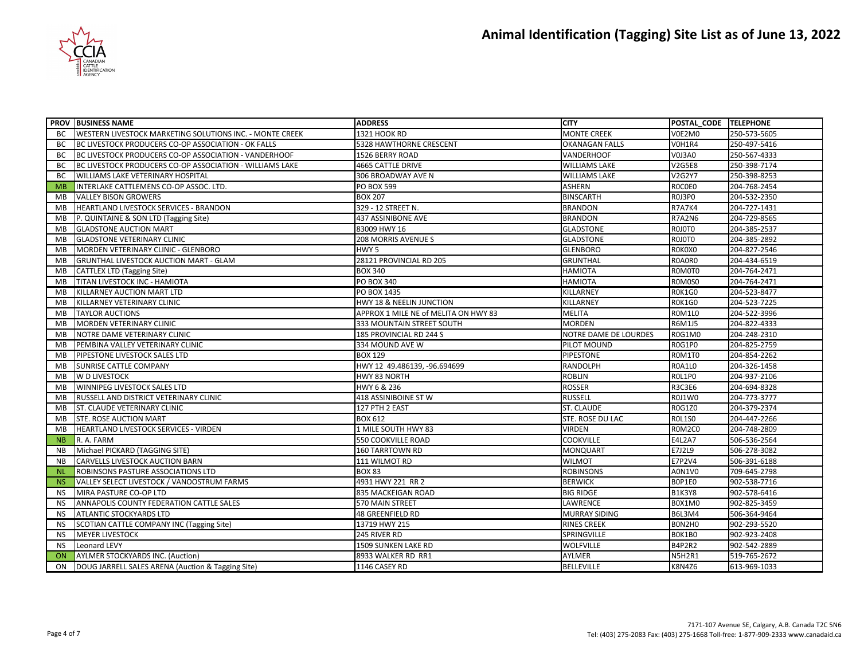

|           | <b>PROV BUSINESS NAME</b>                                | <b>ADDRESS</b>                       | <b>CITY</b>           | POSTAL CODE TELEPHONE |              |
|-----------|----------------------------------------------------------|--------------------------------------|-----------------------|-----------------------|--------------|
| BC        | WESTERN LIVESTOCK MARKETING SOLUTIONS INC. - MONTE CREEK | 1321 HOOK RD                         | <b>MONTE CREEK</b>    | V0E2M0                | 250-573-5605 |
| BC        | BC LIVESTOCK PRODUCERS CO-OP ASSOCIATION - OK FALLS      | 5328 HAWTHORNE CRESCENT              | <b>OKANAGAN FALLS</b> | VOH1R4                | 250-497-5416 |
| BC        | BC LIVESTOCK PRODUCERS CO-OP ASSOCIATION - VANDERHOOF    | 1526 BERRY ROAD                      | VANDERHOOF            | <b>V0J3A0</b>         | 250-567-4333 |
| BC        | BC LIVESTOCK PRODUCERS CO-OP ASSOCIATION - WILLIAMS LAKE | <b>4665 CATTLE DRIVE</b>             | <b>WILLIAMS LAKE</b>  | <b>V2G5E8</b>         | 250-398-7174 |
| BC        | WILLIAMS LAKE VETERINARY HOSPITAL                        | 306 BROADWAY AVE N                   | <b>WILLIAMS LAKE</b>  | V2G2Y7                | 250-398-8253 |
| <b>MB</b> | INTERLAKE CATTLEMENS CO-OP ASSOC. LTD.                   | <b>PO BOX 599</b>                    | <b>ASHERN</b>         | ROCOEO                | 204-768-2454 |
| MВ        | <b>VALLEY BISON GROWERS</b>                              | <b>BOX 207</b>                       | <b>BINSCARTH</b>      | <b>ROJ3PO</b>         | 204-532-2350 |
| <b>MB</b> | HEARTLAND LIVESTOCK SERVICES - BRANDON                   | 329 - 12 STREET N.                   | <b>BRANDON</b>        | <b>R7A7K4</b>         | 204-727-1431 |
| MB        | P. QUINTAINE & SON LTD (Tagging Site)                    | 437 ASSINIBONE AVE                   | <b>BRANDON</b>        | <b>R7A2N6</b>         | 204-729-8565 |
| <b>MB</b> | <b>GLADSTONE AUCTION MART</b>                            | 83009 HWY 16                         | <b>GLADSTONE</b>      | ROJOTO                | 204-385-2537 |
| MB        | <b>GLADSTONE VETERINARY CLINIC</b>                       | 208 MORRIS AVENUE S                  | <b>GLADSTONE</b>      | ROJOTO                | 204-385-2892 |
| <b>MB</b> | MORDEN VETERINARY CLINIC - GLENBORO                      | HWY <sub>5</sub>                     | <b>GLENBORO</b>       | ROKOXO                | 204-827-2546 |
| MB        | <b>GRUNTHAL LIVESTOCK AUCTION MART - GLAM</b>            | 28121 PROVINCIAL RD 205              | <b>GRUNTHAL</b>       | R0A0R0                | 204-434-6519 |
| MB        | <b>CATTLEX LTD (Tagging Site)</b>                        | <b>BOX 340</b>                       | <b>HAMIOTA</b>        | ROMOTO                | 204-764-2471 |
| <b>MB</b> | TITAN LIVESTOCK INC - HAMIOTA                            | <b>PO BOX 340</b>                    | <b>HAMIOTA</b>        | ROMOSO                | 204-764-2471 |
| MB        | KILLARNEY AUCTION MART LTD                               | PO BOX 1435                          | KILLARNEY             | ROK1GO                | 204-523-8477 |
| MB        | KILLARNEY VETERINARY CLINIC                              | HWY 18 & NEELIN JUNCTION             | KILLARNEY             | <b>ROK1GO</b>         | 204-523-7225 |
| MB        | <b>TAYLOR AUCTIONS</b>                                   | APPROX 1 MILE NE of MELITA ON HWY 83 | <b>MELITA</b>         | <b>ROM1LO</b>         | 204-522-3996 |
| <b>MB</b> | MORDEN VETERINARY CLINIC                                 | 333 MOUNTAIN STREET SOUTH            | <b>MORDEN</b>         | R6M1J5                | 204-822-4333 |
| MB        | NOTRE DAME VETERINARY CLINIC                             | 185 PROVINCIAL RD 244 S              | NOTRE DAME DE LOURDES | <b>R0G1M0</b>         | 204-248-2310 |
| MB        | PEMBINA VALLEY VETERINARY CLINIC                         | 334 MOUND AVE W                      | PILOT MOUND           | <b>ROG1PO</b>         | 204-825-2759 |
| MВ        | PIPESTONE LIVESTOCK SALES LTD                            | <b>BOX 129</b>                       | <b>PIPESTONE</b>      | ROM1TO                | 204-854-2262 |
| MB        | SUNRISE CATTLE COMPANY                                   | HWY 12 49.486139, -96.694699         | RANDOLPH              | <b>ROA1LO</b>         | 204-326-1458 |
| MB        | W D LIVESTOCK                                            | HWY 83 NORTH                         | <b>ROBLIN</b>         | <b>ROL1PO</b>         | 204-937-2106 |
| MB        | WINNIPEG LIVESTOCK SALES LTD                             | HWY 6 & 236                          | <b>ROSSER</b>         | R3C3E6                | 204-694-8328 |
| <b>MB</b> | RUSSELL AND DISTRICT VETERINARY CLINIC                   | 418 ASSINIBOINE ST W                 | <b>RUSSELL</b>        | <b>R0J1W0</b>         | 204-773-3777 |
| MB        | ST. CLAUDE VETERINARY CLINIC                             | 127 PTH 2 EAST                       | <b>ST. CLAUDE</b>     | R0G1Z0                | 204-379-2374 |
| MB        | STE. ROSE AUCTION MART                                   | BOX 612                              | STE. ROSE DU LAC      | <b>ROL1SO</b>         | 204-447-2266 |
| <b>MB</b> | HEARTLAND LIVESTOCK SERVICES - VIRDEN                    | 1 MILE SOUTH HWY 83                  | <b>VIRDEN</b>         | ROM2CO                | 204-748-2809 |
| <b>NB</b> | R. A. FARM                                               | 550 COOKVILLE ROAD                   | <b>COOKVILLE</b>      | <b>E4L2A7</b>         | 506-536-2564 |
| <b>NB</b> | Michael PICKARD (TAGGING SITE)                           | <b>160 TARRTOWN RD</b>               | <b>MONQUART</b>       | E7J2L9                | 506-278-3082 |
| <b>NB</b> | CARVELLS LIVESTOCK AUCTION BARN                          | 111 WILMOT RD                        | <b>WILMOT</b>         | E7P2V4                | 506-391-6188 |
| -NL       | ROBINSONS PASTURE ASSOCIATIONS LTD                       | <b>BOX 83</b>                        | <b>ROBINSONS</b>      | A0N1V0                | 709-645-2798 |
| <b>NS</b> | VALLEY SELECT LIVESTOCK / VANOOSTRUM FARMS               | 4931 HWY 221 RR 2                    | <b>BERWICK</b>        | BOP1E0                | 902-538-7716 |
| <b>NS</b> | MIRA PASTURE CO-OP LTD                                   | 835 MACKEIGAN ROAD                   | <b>BIG RIDGE</b>      | <b>B1K3Y8</b>         | 902-578-6416 |
| <b>NS</b> | ANNAPOLIS COUNTY FEDERATION CATTLE SALES                 | 570 MAIN STREET                      | LAWRENCE              | B0X1M0                | 902-825-3459 |
| <b>NS</b> | ATLANTIC STOCKYARDS LTD                                  | <b>48 GREENFIELD RD</b>              | <b>MURRAY SIDING</b>  | B6L3M4                | 506-364-9464 |
| <b>NS</b> | SCOTIAN CATTLE COMPANY INC (Tagging Site)                | 13719 HWY 215                        | <b>RINES CREEK</b>    | BON2HO                | 902-293-5520 |
| <b>NS</b> | <b>MEYER LIVESTOCK</b>                                   | 245 RIVER RD                         | SPRINGVILLE           | BOK1BO                | 902-923-2408 |
| <b>NS</b> | <b>Leonard LEVY</b>                                      | 1509 SUNKEN LAKE RD                  | <b>WOLFVILLE</b>      | <b>B4P2R2</b>         | 902-542-2889 |
| ON        | AYLMER STOCKYARDS INC. (Auction)                         | 8933 WALKER RD RR1                   | AYLMER                | <b>N5H2R1</b>         | 519-765-2672 |
| ON        | DOUG JARRELL SALES ARENA (Auction & Tagging Site)        | 1146 CASEY RD                        | <b>BELLEVILLE</b>     | K8N4Z6                | 613-969-1033 |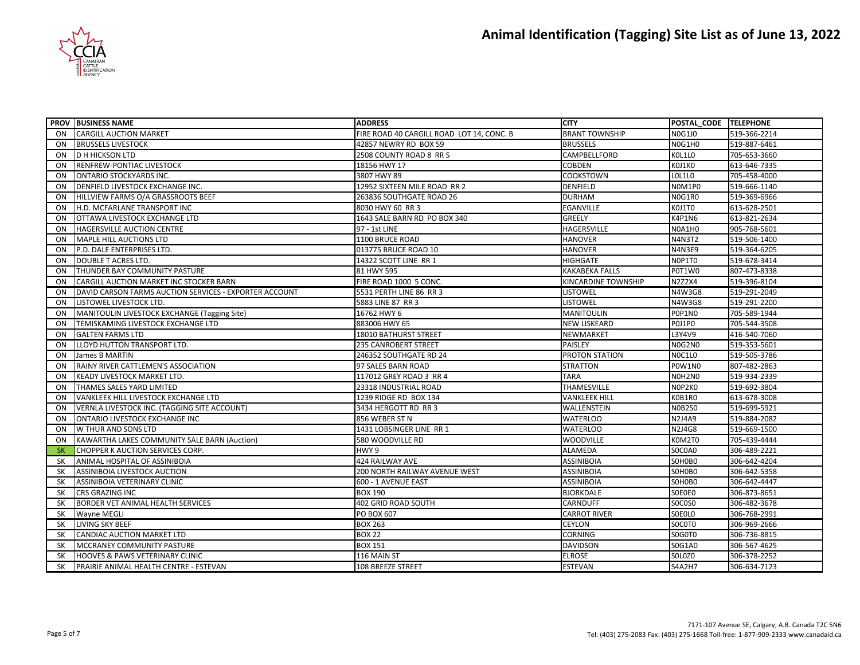

|           | <b>PROV BUSINESS NAME</b>                              | <b>ADDRESS</b>                            | <b>CITY</b>           | POSTAL_CODE TELEPHONE |              |
|-----------|--------------------------------------------------------|-------------------------------------------|-----------------------|-----------------------|--------------|
| <b>ON</b> | <b>CARGILL AUCTION MARKET</b>                          | FIRE ROAD 40 CARGILL ROAD LOT 14, CONC. B | <b>BRANT TOWNSHIP</b> | <b>NOG1JO</b>         | 519-366-2214 |
| <b>ON</b> | <b>BRUSSELS LIVESTOCK</b>                              | 42857 NEWRY RD BOX 59                     | <b>BRUSSELS</b>       | NOG1H0                | 519-887-6461 |
| <b>ON</b> | <b>D H HICKSON LTD</b>                                 | 2508 COUNTY ROAD 8 RR 5                   | CAMPBELLFORD          | KOL1LO                | 705-653-3660 |
| ON        | RENFREW-PONTIAC LIVESTOCK                              | 18156 HWY 17                              | <b>COBDEN</b>         | KOJ1KO                | 613-646-7335 |
| ON        | <b>ONTARIO STOCKYARDS INC.</b>                         | 3807 HWY 89                               | <b>COOKSTOWN</b>      | <b>LOL1LO</b>         | 705-458-4000 |
| ON        | DENFIELD LIVESTOCK EXCHANGE INC.                       | 12952 SIXTEEN MILE ROAD RR 2              | <b>DENFIELD</b>       | NOM1PO                | 519-666-1140 |
| ON        | HILLVIEW FARMS O/A GRASSROOTS BEEF                     | 263836 SOUTHGATE ROAD 26                  | <b>DURHAM</b>         | N0G1R0                | 519-369-6966 |
| <b>ON</b> | H.D. MCFARLANE TRANSPORT INC                           | 8030 HWY 60 RR 3                          | <b>EGANVILLE</b>      | KOJ1TO                | 613-628-2501 |
| ON        | OTTAWA LIVESTOCK EXCHANGE LTD                          | 1643 SALE BARN RD PO BOX 340              | <b>GREELY</b>         | K4P1N6                | 613-821-2634 |
| <b>ON</b> | HAGERSVILLE AUCTION CENTRE                             | 97 - 1st LINE                             | <b>HAGERSVILLE</b>    | N0A1H0                | 905-768-5601 |
| <b>ON</b> | <b>MAPLE HILL AUCTIONS LTD</b>                         | 1100 BRUCE ROAD                           | <b>HANOVER</b>        | <b>N4N3T2</b>         | 519-506-1400 |
| <b>ON</b> | P.D. DALE ENTERPRISES LTD.                             | 013775 BRUCE ROAD 10                      | <b>HANOVER</b>        | <b>N4N3E9</b>         | 519-364-6205 |
| ON        | DOUBLE T ACRES LTD.                                    | 14322 SCOTT LINE RR 1                     | <b>HIGHGATE</b>       | NOP1TO                | 519-678-3414 |
| <b>ON</b> | THUNDER BAY COMMUNITY PASTURE                          | 81 HWY 595                                | <b>KAKABEKA FALLS</b> | P0T1W0                | 807-473-8338 |
| ON        | CARGILL AUCTION MARKET INC STOCKER BARN                | FIRE ROAD 1000 5 CONC.                    | KINCARDINE TOWNSHIP   | <b>N2Z2X4</b>         | 519-396-8104 |
| <b>ON</b> | DAVID CARSON FARMS AUCTION SERVICES - EXPORTER ACCOUNT | 5531 PERTH LINE 86 RR 3                   | <b>LISTOWEL</b>       | N4W3G8                | 519-291-2049 |
| ON        | LISTOWEL LIVESTOCK LTD.                                | 5883 LINE 87 RR 3                         | <b>LISTOWEL</b>       | N4W3G8                | 519-291-2200 |
| ON        | MANITOULIN LIVESTOCK EXCHANGE (Tagging Site)           | 16762 HWY 6                               | <b>MANITOULIN</b>     | POP1NO                | 705-589-1944 |
| ON        | TEMISKAMING LIVESTOCK EXCHANGE LTD                     | 883006 HWY 65                             | <b>NEW LISKEARD</b>   | POJ1PO                | 705-544-3508 |
| <b>ON</b> | <b>GALTEN FARMS LTD</b>                                | <b>18010 BATHURST STREET</b>              | NEWMARKET             | L3Y4V9                | 416-540-7060 |
| ON        | LLOYD HUTTON TRANSPORT LTD.                            | 235 CANROBERT STREET                      | PAISLEY               | NOG2NO                | 519-353-5601 |
| <b>ON</b> | James B MARTIN                                         | 246352 SOUTHGATE RD 24                    | PROTON STATION        | NOC1LO                | 519-505-3786 |
| ON        | RAINY RIVER CATTLEMEN'S ASSOCIATION                    | 97 SALES BARN ROAD                        | <b>STRATTON</b>       | <b>POW1NO</b>         | 807-482-2863 |
| ON        | KEADY LIVESTOCK MARKET LTD.                            | 117012 GREY ROAD 3 RR 4                   | <b>TARA</b>           | NOH2NO                | 519-934-2339 |
| ON        | THAMES SALES YARD LIMITED                              | 23318 INDUSTRIAL ROAD                     | THAMESVILLE           | NOP2KO                | 519-692-3804 |
| ON        | VANKLEEK HILL LIVESTOCK EXCHANGE LTD                   | 1239 RIDGE RD BOX 134                     | <b>VANKLEEK HILL</b>  | K0B1R0                | 613-678-3008 |
| ON        | VERNLA LIVESTOCK INC. (TAGGING SITE ACCOUNT)           | 3434 HERGOTT RD RR 3                      | WALLENSTEIN           | <b>NOB2SO</b>         | 519-699-5921 |
| ON        | ONTARIO LIVESTOCK EXCHANGE INC                         | 856 WEBER ST N                            | <b>WATERLOO</b>       | <b>N2J4A9</b>         | 519-884-2082 |
| ON        | W THUR AND SONS LTD                                    | 1431 LOBSINGER LINE RR 1                  | <b>WATERLOO</b>       | <b>N2J4G8</b>         | 519-669-1500 |
| ON        | KAWARTHA LAKES COMMUNITY SALE BARN (Auction)           | 580 WOODVILLE RD                          | <b>WOODVILLE</b>      | K0M2T0                | 705-439-4444 |
| <b>SK</b> | CHOPPER K AUCTION SERVICES CORP.                       | HWY 9                                     | <b>ALAMEDA</b>        | SOCOAO                | 306-489-2221 |
| <b>SK</b> | ANIMAL HOSPITAL OF ASSINIBOIA                          | <b>424 RAILWAY AVE</b>                    | <b>ASSINIBOIA</b>     | SOHOBO                | 306-642-4204 |
| <b>SK</b> | ASSINIBOIA LIVESTOCK AUCTION                           | 200 NORTH RAILWAY AVENUE WEST             | <b>ASSINIBOIA</b>     | SOHOBO                | 306-642-5358 |
| <b>SK</b> | ASSINIBOIA VETERINARY CLINIC                           | 600 - 1 AVENUE EAST                       | <b>ASSINIBOIA</b>     | SOHOBO                | 306-642-4447 |
| <b>SK</b> | CRS GRAZING INC                                        | <b>BOX 190</b>                            | <b>BJORKDALE</b>      | SOEOEO                | 306-873-8651 |
| SK        | BORDER VET ANIMAL HEALTH SERVICES                      | 402 GRID ROAD SOUTH                       | <b>CARNDUFF</b>       | <b>SOCOSO</b>         | 306-482-3678 |
| <b>SK</b> | Wayne MEGLI                                            | PO BOX 607                                | <b>CARROT RIVER</b>   | SOEOLO                | 306-768-2991 |
| SK        | LIVING SKY BEEF                                        | <b>BOX 263</b>                            | <b>CEYLON</b>         | SOCOTO                | 306-969-2666 |
| SK        | CANDIAC AUCTION MARKET LTD                             | <b>BOX 22</b>                             | <b>CORNING</b>        | SOGOTO                | 306-736-8815 |
| <b>SK</b> | MCCRANEY COMMUNITY PASTURE                             | <b>BOX 151</b>                            | <b>DAVIDSON</b>       | S0G1A0                | 306-567-4625 |
| SΚ        | HOOVES & PAWS VETERINARY CLINIC                        | 116 MAIN ST                               | <b>ELROSE</b>         | SOLOZO                | 306-378-2252 |
| <b>SK</b> | PRAIRIE ANIMAL HEALTH CENTRE - ESTEVAN                 | 108 BREEZE STREET                         | <b>ESTEVAN</b>        | <b>S4A2H7</b>         | 306-634-7123 |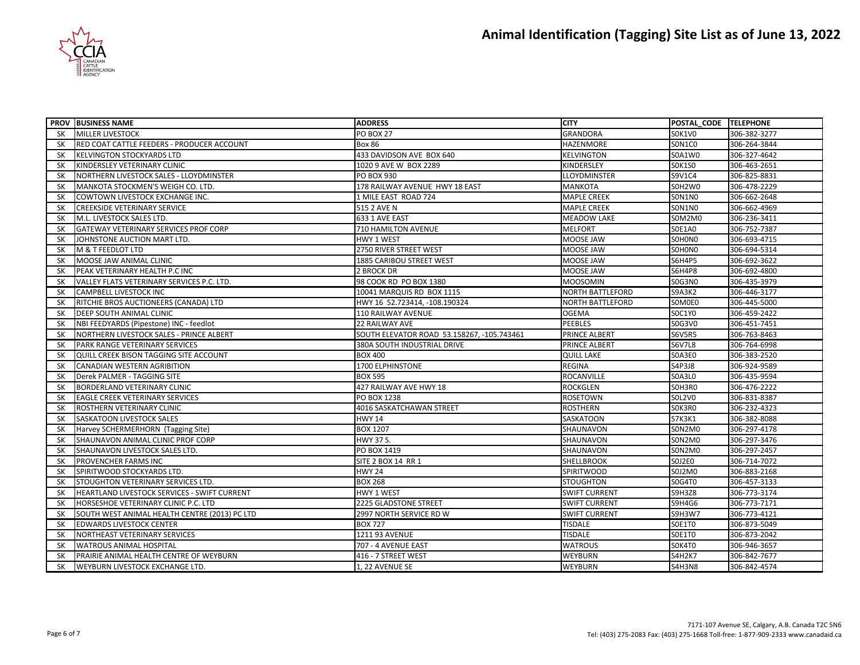

|           | <b>PROV BUSINESS NAME</b>                     | <b>ADDRESS</b>                             | <b>CITY</b>             | POSTAL CODE TELEPHONE |              |
|-----------|-----------------------------------------------|--------------------------------------------|-------------------------|-----------------------|--------------|
| <b>SK</b> | <b>MILLER LIVESTOCK</b>                       | <b>PO BOX 27</b>                           | <b>GRANDORA</b>         | SOK1VO                | 306-382-3277 |
| <b>SK</b> | RED COAT CATTLE FEEDERS - PRODUCER ACCOUNT    | <b>Box 86</b>                              | HAZENMORE               | SON1CO                | 306-264-3844 |
| <b>SK</b> | <b>KELVINGTON STOCKYARDS LTD</b>              | 433 DAVIDSON AVE BOX 640                   | <b>KELVINGTON</b>       | S0A1W0                | 306-327-4642 |
| <b>SK</b> | KINDERSLEY VETERINARY CLINIC                  | 1020 9 AVE W BOX 2289                      | KINDERSLEY              | <b>SOK1SO</b>         | 306-463-2651 |
| <b>SK</b> | NORTHERN LIVESTOCK SALES - LLOYDMINSTER       | <b>PO BOX 930</b>                          | <b>LLOYDMINSTER</b>     | S9V1C4                | 306-825-8831 |
| SΚ        | MANKOTA STOCKMEN'S WEIGH CO. LTD.             | 178 RAILWAY AVENUE HWY 18 EAST             | <b>MANKOTA</b>          | SOH2W0                | 306-478-2229 |
| <b>SK</b> | COWTOWN LIVESTOCK EXCHANGE INC.               | 1 MILE EAST ROAD 724                       | <b>MAPLE CREEK</b>      | <b>SON1NO</b>         | 306-662-2648 |
| <b>SK</b> | <b>CREEKSIDE VETERINARY SERVICE</b>           | 515 2 AVE N                                | <b>MAPLE CREEK</b>      | <b>SON1NO</b>         | 306-662-4969 |
| SK        | M.L. LIVESTOCK SALES LTD.                     | 633 1 AVE EAST                             | <b>MEADOW LAKE</b>      | SOM2M0                | 306-236-3411 |
| <b>SK</b> | GATEWAY VETERINARY SERVICES PROF CORP         | 710 HAMILTON AVENUE                        | <b>MELFORT</b>          | S0E1A0                | 306-752-7387 |
| <b>SK</b> | JOHNSTONE AUCTION MART LTD.                   | HWY 1 WEST                                 | MOOSE JAW               | SOHONO                | 306-693-4715 |
| <b>SK</b> | M & T FEEDLOT LTD                             | 2750 RIVER STREET WEST                     | <b>MOOSE JAW</b>        | SOHONO                | 306-694-5314 |
| <b>SK</b> | MOOSE JAW ANIMAL CLINIC                       | <b>1885 CARIBOU STREET WEST</b>            | MOOSE JAW               | S6H4P5                | 306-692-3622 |
| SΚ        | PEAK VETERINARY HEALTH P.C INC                | 2 BROCK DR                                 | MOOSE JAW               | <b>S6H4P8</b>         | 306-692-4800 |
| <b>SK</b> | VALLEY FLATS VETERINARY SERVICES P.C. LTD.    | 98 COOK RD PO BOX 1380                     | <b>MOOSOMIN</b>         | <b>SOG3NO</b>         | 306-435-3979 |
| <b>SK</b> | <b>CAMPBELL LIVESTOCK INC</b>                 | 10041 MARQUIS RD BOX 1115                  | <b>NORTH BATTLEFORD</b> | S9A3K2                | 306-446-3177 |
| <b>SK</b> | RITCHIE BROS AUCTIONEERS (CANADA) LTD         | HWY 16 52.723414, -108.190324              | <b>NORTH BATTLEFORD</b> | SOMOE0                | 306-445-5000 |
| <b>SK</b> | DEEP SOUTH ANIMAL CLINIC                      | 110 RAILWAY AVENUE                         | <b>OGEMA</b>            | SOC1Y0                | 306-459-2422 |
| <b>SK</b> | NBI FEEDYARDS (Pipestone) INC - feedlot       | 22 RAILWAY AVE                             | <b>PEEBLES</b>          | S0G3V0                | 306-451-7451 |
| <b>SK</b> | NORTHERN LIVESTOCK SALES - PRINCE ALBERT      | SOUTH ELEVATOR ROAD 53.158267, -105.743461 | <b>PRINCE ALBERT</b>    | <b>S6V5R5</b>         | 306-763-8463 |
| <b>SK</b> | PARK RANGE VETERINARY SERVICES                | 380A SOUTH INDUSTRIAL DRIVE                | PRINCE ALBERT           | <b>S6V7L8</b>         | 306-764-6998 |
| <b>SK</b> | QUILL CREEK BISON TAGGING SITE ACCOUNT        | <b>BOX 400</b>                             | <b>QUILL LAKE</b>       | SOA3E0                | 306-383-2520 |
| <b>SK</b> | CANADIAN WESTERN AGRIBITION                   | 1700 ELPHINSTONE                           | <b>REGINA</b>           | S4P3J8                | 306-924-9589 |
| <b>SK</b> | Derek PALMER - TAGGING SITE                   | <b>BOX 595</b>                             | <b>ROCANVILLE</b>       | <b>SOA3LO</b>         | 306-435-9594 |
| <b>SK</b> | BORDERLAND VETERINARY CLINIC                  | 427 RAILWAY AVE HWY 18                     | <b>ROCKGLEN</b>         | SOH3RO                | 306-476-2222 |
| <b>SK</b> | <b>EAGLE CREEK VETERINARY SERVICES</b>        | PO BOX 1238                                | <b>ROSETOWN</b>         | SOL2V0                | 306-831-8387 |
| <b>SK</b> | ROSTHERN VETERINARY CLINIC                    | 4016 SASKATCHAWAN STREET                   | <b>ROSTHERN</b>         | SOK3RO                | 306-232-4323 |
| <b>SK</b> | SASKATOON LIVESTOCK SALES                     | <b>HWY 14</b>                              | SASKATOON               | S7K3K1                | 306-382-8088 |
| SΚ        | Harvey SCHERMERHORN (Tagging Site)            | <b>BOX 1207</b>                            | SHAUNAVON               | SON2MO                | 306-297-4178 |
| SK        | SHAUNAVON ANIMAL CLINIC PROF CORP             | <b>HWY 37 S.</b>                           | SHAUNAVON               | SON2MO                | 306-297-3476 |
| <b>SK</b> | SHAUNAVON LIVESTOCK SALES LTD.                | PO BOX 1419                                | SHAUNAVON               | SON2MO                | 306-297-2457 |
| SK        | PROVENCHER FARMS INC                          | SITE 2 BOX 14 RR 1                         | <b>SHELLBROOK</b>       | <b>SOJ2E0</b>         | 306-714-7072 |
| SK        | SPIRITWOOD STOCKYARDS LTD.                    | <b>HWY 24</b>                              | <b>SPIRITWOOD</b>       | S0J2M0                | 306-883-2168 |
| <b>SK</b> | STOUGHTON VETERINARY SERVICES LTD.            | <b>BOX 268</b>                             | <b>STOUGHTON</b>        | S0G4T0                | 306-457-3133 |
| SΚ        | HEARTLAND LIVESTOCK SERVICES - SWIFT CURRENT  | <b>HWY 1 WEST</b>                          | <b>SWIFT CURRENT</b>    | <b>S9H3Z8</b>         | 306-773-3174 |
| <b>SK</b> | HORSESHOE VETERINARY CLINIC P.C. LTD          | 2225 GLADSTONE STREET                      | <b>SWIFT CURRENT</b>    | S9H4G6                | 306-773-7171 |
| <b>SK</b> | SOUTH WEST ANIMAL HEALTH CENTRE (2013) PC LTD | 2997 NORTH SERVICE RD W                    | <b>SWIFT CURRENT</b>    | S9H3W7                | 306-773-4121 |
| <b>SK</b> | EDWARDS LIVESTOCK CENTER                      | <b>BOX 727</b>                             | <b>TISDALE</b>          | S0E1T0                | 306-873-5049 |
| SΚ        | NORTHEAST VETERINARY SERVICES                 | 1211 93 AVENUE                             | <b>TISDALE</b>          | SOE1TO                | 306-873-2042 |
| SK        | <b>WATROUS ANIMAL HOSPITAL</b>                | 707 - 4 AVENUE EAST                        | <b>WATROUS</b>          | SOK4TO                | 306-946-3657 |
| SΚ        | PRAIRIE ANIMAL HEALTH CENTRE OF WEYBURN       | 416 - 7 STREET WEST                        | WEYBURN                 | S4H2K7                | 306-842-7677 |
| <b>SK</b> | WEYBURN LIVESTOCK EXCHANGE LTD.               | 1, 22 AVENUE SE                            | <b>WEYBURN</b>          | <b>S4H3N8</b>         | 306-842-4574 |